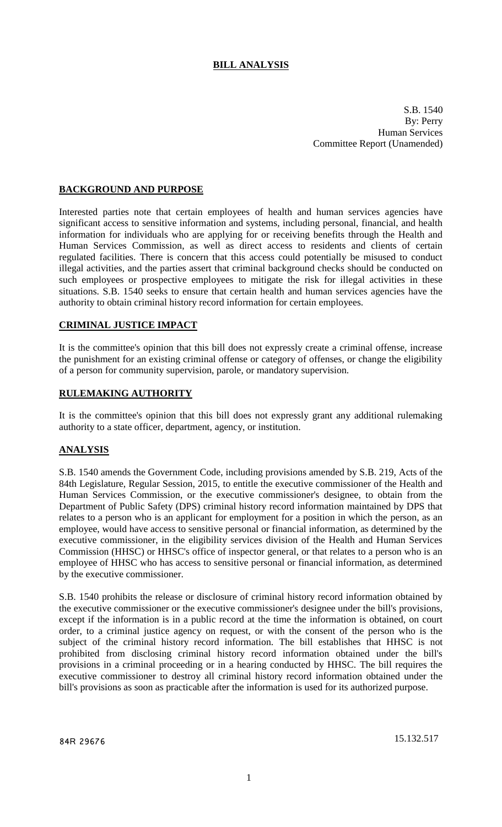# **BILL ANALYSIS**

S.B. 1540 By: Perry Human Services Committee Report (Unamended)

## **BACKGROUND AND PURPOSE**

Interested parties note that certain employees of health and human services agencies have significant access to sensitive information and systems, including personal, financial, and health information for individuals who are applying for or receiving benefits through the Health and Human Services Commission, as well as direct access to residents and clients of certain regulated facilities. There is concern that this access could potentially be misused to conduct illegal activities, and the parties assert that criminal background checks should be conducted on such employees or prospective employees to mitigate the risk for illegal activities in these situations. S.B. 1540 seeks to ensure that certain health and human services agencies have the authority to obtain criminal history record information for certain employees.

### **CRIMINAL JUSTICE IMPACT**

It is the committee's opinion that this bill does not expressly create a criminal offense, increase the punishment for an existing criminal offense or category of offenses, or change the eligibility of a person for community supervision, parole, or mandatory supervision.

#### **RULEMAKING AUTHORITY**

It is the committee's opinion that this bill does not expressly grant any additional rulemaking authority to a state officer, department, agency, or institution.

# **ANALYSIS**

S.B. 1540 amends the Government Code, including provisions amended by S.B. 219, Acts of the 84th Legislature, Regular Session, 2015, to entitle the executive commissioner of the Health and Human Services Commission, or the executive commissioner's designee, to obtain from the Department of Public Safety (DPS) criminal history record information maintained by DPS that relates to a person who is an applicant for employment for a position in which the person, as an employee, would have access to sensitive personal or financial information, as determined by the executive commissioner, in the eligibility services division of the Health and Human Services Commission (HHSC) or HHSC's office of inspector general, or that relates to a person who is an employee of HHSC who has access to sensitive personal or financial information, as determined by the executive commissioner.

S.B. 1540 prohibits the release or disclosure of criminal history record information obtained by the executive commissioner or the executive commissioner's designee under the bill's provisions, except if the information is in a public record at the time the information is obtained, on court order, to a criminal justice agency on request, or with the consent of the person who is the subject of the criminal history record information. The bill establishes that HHSC is not prohibited from disclosing criminal history record information obtained under the bill's provisions in a criminal proceeding or in a hearing conducted by HHSC. The bill requires the executive commissioner to destroy all criminal history record information obtained under the bill's provisions as soon as practicable after the information is used for its authorized purpose.